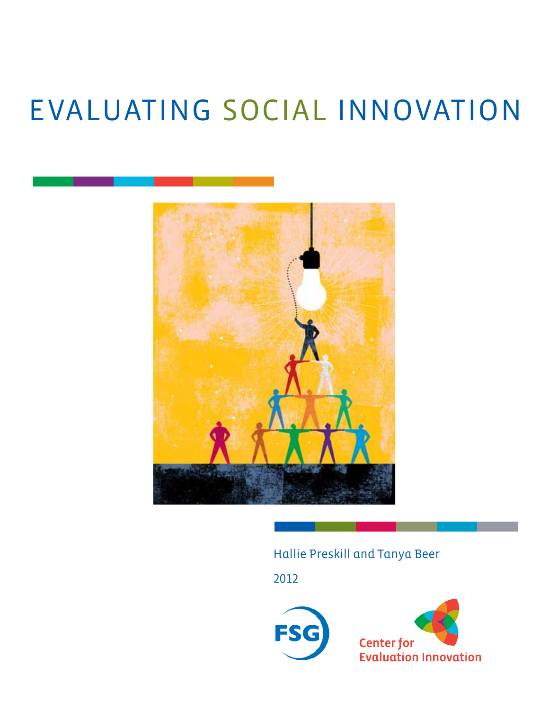# EVALUATING SOCIAL INNOVATION



## Hallie Preskill and Tanya Beer

2012

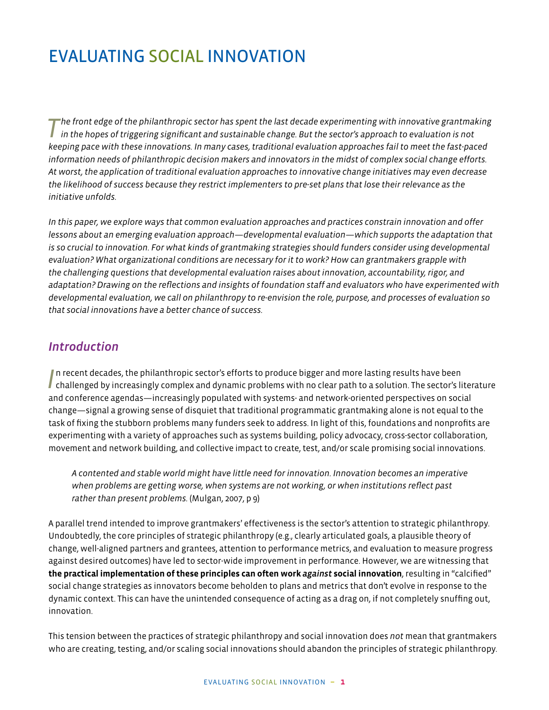## EVALUATING SOCIAL INNOVATION

*T he front edge of the philanthropic sector has spent the last decade experimenting with innovative grantmaking in the hopes of triggering significant and sustainable change. But the sector's approach to evaluation is not keeping pace with these innovations. In many cases, traditional evaluation approaches fail to meet the fast-paced information needs of philanthropic decision makers and innovators in the midst of complex social change efforts. At worst, the application of traditional evaluation approaches to innovative change initiatives may even decrease the likelihood of success because they restrict implementers to pre-set plans that lose their relevance as the initiative unfolds.* 

*In this paper, we explore ways that common evaluation approaches and practices constrain innovation and offer lessons about an emerging evaluation approach—developmental evaluation—which supports the adaptation that is so crucial to innovation. For what kinds of grantmaking strategies should funders consider using developmental evaluation? What organizational conditions are necessary for it to work? How can grantmakers grapple with the challenging questions that developmental evaluation raises about innovation, accountability, rigor, and adaptation? Drawing on the reflections and insights of foundation staff and evaluators who have experimented with developmental evaluation, we call on philanthropy to re-envision the role, purpose, and processes of evaluation so that social innovations have a better chance of success.*

#### *Introduction*

In recent decades, the philanthropic sector's efforts to produce bigger and more lasting results have been challenged by increasingly complex and dynamic problems with no clear path to a solution. The sector's literature In recent decades, the philanthropic sector's efforts to produce bigger and more lasting results have been and conference agendas—increasingly populated with systems- and network-oriented perspectives on social change—signal a growing sense of disquiet that traditional programmatic grantmaking alone is not equal to the task of fixing the stubborn problems many funders seek to address. In light of this, foundations and nonprofits are experimenting with a variety of approaches such as systems building, policy advocacy, cross-sector collaboration, movement and network building, and collective impact to create, test, and/or scale promising social innovations.

*A contented and stable world might have little need for innovation. Innovation becomes an imperative when problems are getting worse, when systems are not working, or when institutions reflect past rather than present problems.* (Mulgan, 2007, p 9)

A parallel trend intended to improve grantmakers' effectiveness is the sector's attention to strategic philanthropy. Undoubtedly, the core principles of strategic philanthropy (e.g., clearly articulated goals, a plausible theory of change, well-aligned partners and grantees, attention to performance metrics, and evaluation to measure progress against desired outcomes) have led to sector-wide improvement in performance. However, we are witnessing that **the practical implementation of these principles can often work** *against* **social innovation**, resulting in "calcified" social change strategies as innovators become beholden to plans and metrics that don't evolve in response to the dynamic context. This can have the unintended consequence of acting as a drag on, if not completely snuffing out, innovation.

This tension between the practices of strategic philanthropy and social innovation does *not* mean that grantmakers who are creating, testing, and/or scaling social innovations should abandon the principles of strategic philanthropy.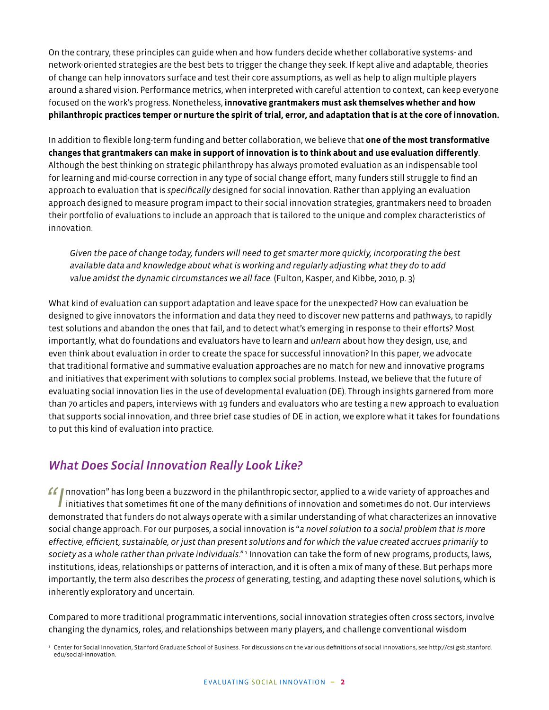On the contrary, these principles can guide when and how funders decide whether collaborative systems- and network-oriented strategies are the best bets to trigger the change they seek. If kept alive and adaptable, theories of change can help innovators surface and test their core assumptions, as well as help to align multiple players around a shared vision. Performance metrics, when interpreted with careful attention to context, can keep everyone focused on the work's progress. Nonetheless, **innovative grantmakers must ask themselves whether and how philanthropic practices temper or nurture the spirit of trial, error, and adaptation that is at the core of innovation.**

In addition to flexible long-term funding and better collaboration, we believe that **one of the most transformative changes that grantmakers can make in support of innovation is to think about and use evaluation differently**. Although the best thinking on strategic philanthropy has always promoted evaluation as an indispensable tool for learning and mid-course correction in any type of social change effort, many funders still struggle to find an approach to evaluation that is *specifically* designed for social innovation. Rather than applying an evaluation approach designed to measure program impact to their social innovation strategies, grantmakers need to broaden their portfolio of evaluations to include an approach that is tailored to the unique and complex characteristics of innovation.

*Given the pace of change today, funders will need to get smarter more quickly, incorporating the best available data and knowledge about what is working and regularly adjusting what they do to add value amidst the dynamic circumstances we all face.* (Fulton, Kasper, and Kibbe, 2010, p. 3)

What kind of evaluation can support adaptation and leave space for the unexpected? How can evaluation be designed to give innovators the information and data they need to discover new patterns and pathways, to rapidly test solutions and abandon the ones that fail, and to detect what's emerging in response to their efforts? Most importantly, what do foundations and evaluators have to learn and *unlearn* about how they design, use, and even think about evaluation in order to create the space for successful innovation? In this paper, we advocate that traditional formative and summative evaluation approaches are no match for new and innovative programs and initiatives that experiment with solutions to complex social problems. Instead, we believe that the future of evaluating social innovation lies in the use of developmental evaluation (DE). Through insights garnered from more than 70 articles and papers, interviews with 19 funders and evaluators who are testing a new approach to evaluation that supports social innovation, and three brief case studies of DE in action, we explore what it takes for foundations to put this kind of evaluation into practice.

## *What Does Social Innovation Really Look Like?*

*"I*nnovation" has long been a buzzword in the philanthropic sector, applied to a wide variety of approaches and  $\blacksquare$  initiatives that sometimes fit one of the many definitions of innovation and sometimes do not. Our interviews demonstrated that funders do not always operate with a similar understanding of what characterizes an innovative social change approach. For our purposes, a social innovation is "*a novel solution to a social problem that is more effective, efficient, sustainable, or just than present solutions and for which the value created accrues primarily to society as a whole rather than private individuals*." <sup>1</sup> Innovation can take the form of new programs, products, laws, institutions, ideas, relationships or patterns of interaction, and it is often a mix of many of these. But perhaps more importantly, the term also describes the *process* of generating, testing, and adapting these novel solutions, which is inherently exploratory and uncertain.

Compared to more traditional programmatic interventions, social innovation strategies often cross sectors, involve changing the dynamics, roles, and relationships between many players, and challenge conventional wisdom

 $^{\rm ^{1}}$  Center for Social Innovation, Stanford Graduate School of Business. For discussions on the various definitions of social innovations, see http://csi.gsb.stanford. edu/social-innovation.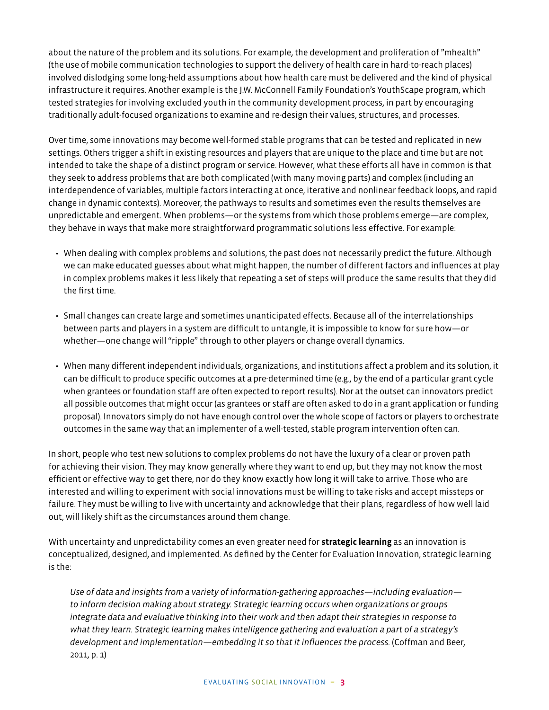about the nature of the problem and its solutions. For example, the development and proliferation of "mhealth" (the use of mobile communication technologies to support the delivery of health care in hard-to-reach places) involved dislodging some long-held assumptions about how health care must be delivered and the kind of physical infrastructure it requires. Another example is the J.W. McConnell Family Foundation's YouthScape program, which tested strategies for involving excluded youth in the community development process, in part by encouraging traditionally adult-focused organizations to examine and re-design their values, structures, and processes.

Over time, some innovations may become well-formed stable programs that can be tested and replicated in new settings. Others trigger a shift in existing resources and players that are unique to the place and time but are not intended to take the shape of a distinct program or service. However, what these efforts all have in common is that they seek to address problems that are both complicated (with many moving parts) and complex (including an interdependence of variables, multiple factors interacting at once, iterative and nonlinear feedback loops, and rapid change in dynamic contexts). Moreover, the pathways to results and sometimes even the results themselves are unpredictable and emergent. When problems—or the systems from which those problems emerge—are complex, they behave in ways that make more straightforward programmatic solutions less effective. For example:

- When dealing with complex problems and solutions, the past does not necessarily predict the future. Although we can make educated guesses about what might happen, the number of different factors and influences at play in complex problems makes it less likely that repeating a set of steps will produce the same results that they did the first time.
- Small changes can create large and sometimes unanticipated effects. Because all of the interrelationships between parts and players in a system are difficult to untangle, it is impossible to know for sure how—or whether—one change will "ripple" through to other players or change overall dynamics.
- When many different independent individuals, organizations, and institutions affect a problem and its solution, it can be difficult to produce specific outcomes at a pre-determined time (e.g., by the end of a particular grant cycle when grantees or foundation staff are often expected to report results). Nor at the outset can innovators predict all possible outcomes that might occur (as grantees or staff are often asked to do in a grant application or funding proposal). Innovators simply do not have enough control over the whole scope of factors or players to orchestrate outcomes in the same way that an implementer of a well-tested, stable program intervention often can.

In short, people who test new solutions to complex problems do not have the luxury of a clear or proven path for achieving their vision. They may know generally where they want to end up, but they may not know the most efficient or effective way to get there, nor do they know exactly how long it will take to arrive. Those who are interested and willing to experiment with social innovations must be willing to take risks and accept missteps or failure. They must be willing to live with uncertainty and acknowledge that their plans, regardless of how well laid out, will likely shift as the circumstances around them change.

With uncertainty and unpredictability comes an even greater need for **strategic learning** as an innovation is conceptualized, designed, and implemented. As defined by the Center for Evaluation Innovation, strategic learning is the:

*Use of data and insights from a variety of information-gathering approaches—including evaluation to inform decision making about strategy. Strategic learning occurs when organizations or groups integrate data and evaluative thinking into their work and then adapt their strategies in response to what they learn. Strategic learning makes intelligence gathering and evaluation a part of a strategy's development and implementation—embedding it so that it influences the process.* (Coffman and Beer, 2011, p. 1)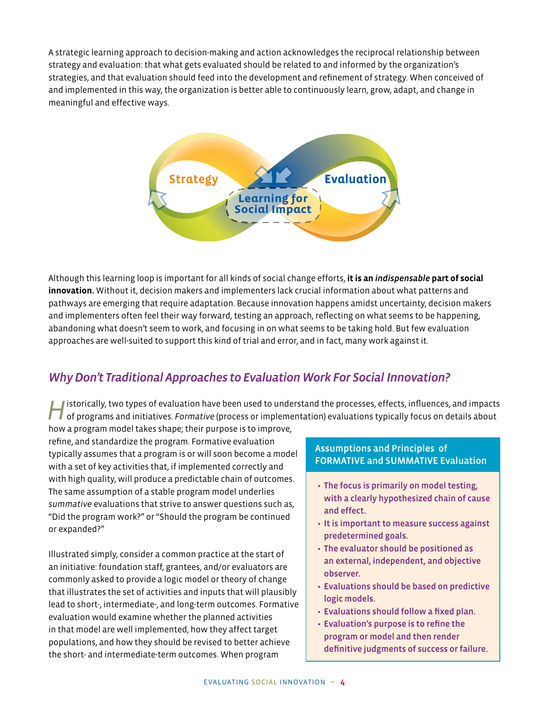A strategic learning approach to decision-making and action acknowledges the reciprocal relationship between strategy and evaluation: that what gets evaluated should be related to and informed by the organization's strategies, and that evaluation should feed into the development and refinement of strategy. When conceived of and implemented in this way, the organization is better able to continuously learn, grow, adapt, and change in meaningful and effective ways.



Although this learning loop is important for all kinds of social change efforts, **it is an** *indispensable* **part of social innovation.** Without it, decision makers and implementers lack crucial information about what patterns and pathways are emerging that require adaptation. Because innovation happens amidst uncertainty, decision makers and implementers often feel their way forward, testing an approach, reflecting on what seems to be happening, abandoning what doesn't seem to work, and focusing in on what seems to be taking hold. But few evaluation approaches are well-suited to support this kind of trial and error, and in fact, many work against it.

## **Why Don't Traditional Approaches to Evaluation Work For Social Innovation?**

*H*istorically, two types of evaluation have been used to understand the processes, effects, influences, and impacts of programs and initiatives. *Formative* (process or implementation) evaluations typically focus on details about

how a program model takes shape; their purpose is to improve, refine, and standardize the program. Formative evaluation typically assumes that a program is or will soon become a model with a set of key activities that, if implemented correctly and with high quality, will produce a predictable chain of outcomes. The same assumption of a stable program model underlies *summative* evaluations that strive to answer questions such as, "Did the program work?" or "Should the program be continued or expanded?"

Illustrated simply, consider a common practice at the start of an initiative: foundation staff, grantees, and/or evaluators are commonly asked to provide a logic model or theory of change that illustrates the set of activities and inputs that will plausibly lead to short-, intermediate-, and long-term outcomes. Formative evaluation would examine whether the planned activities in that model are well implemented, how they affect target populations, and how they should be revised to better achieve the short- and intermediate-term outcomes. When program

#### Assumptions and Principles of FORMATIVE and SUMMATIVE Evaluation

- The focus is primarily on model testing, with a clearly hypothesized chain of cause and effect.
- It is important to measure success against predetermined goals.
- The evaluator should be positioned as an external, independent, and objective observer.
- Evaluations should be based on predictive logic models.
- Evaluations should follow a fixed plan.
- Evaluation's purpose is to refine the program or model and then render definitive judgments of success or failure.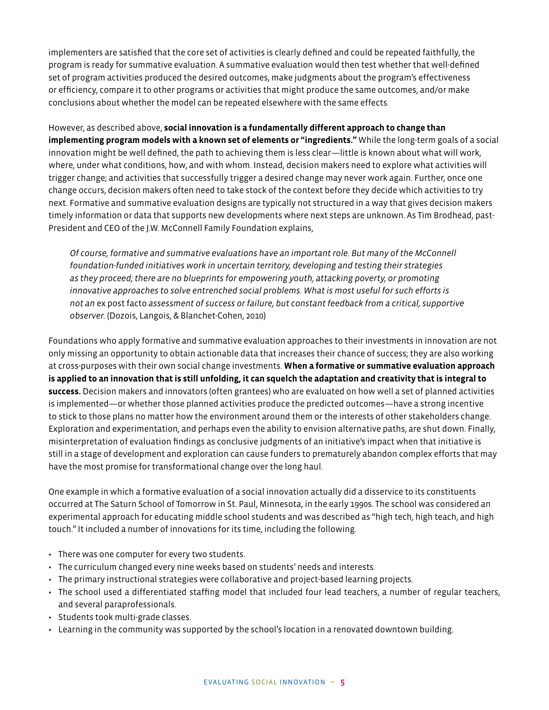implementers are satisfied that the core set of activities is clearly defined and could be repeated faithfully, the program is ready for summative evaluation. A summative evaluation would then test whether that well-defined set of program activities produced the desired outcomes, make judgments about the program's effectiveness or efficiency, compare it to other programs or activities that might produce the same outcomes, and/or make conclusions about whether the model can be repeated elsewhere with the same effects.

However, as described above, **social innovation is a fundamentally different approach to change than implementing program models with a known set of elements or "ingredients."** While the long-term goals of a social innovation might be well defined, the path to achieving them is less clear—little is known about what will work, where, under what conditions, how, and with whom. Instead, decision makers need to explore what activities will trigger change; and activities that successfully trigger a desired change may never work again. Further, once one change occurs, decision makers often need to take stock of the context before they decide which activities to try next. Formative and summative evaluation designs are typically not structured in a way that gives decision makers timely information or data that supports new developments where next steps are unknown. As Tim Brodhead, past-President and CEO of the J.W. McConnell Family Foundation explains,

*Of course, formative and summative evaluations have an important role. But many of the McConnell foundation-funded initiatives work in uncertain territory, developing and testing their strategies as they proceed; there are no blueprints for empowering youth, attacking poverty, or promoting innovative approaches to solve entrenched social problems. What is most useful for such efforts is not an* ex post facto *assessment of success or failure, but constant feedback from a critical, supportive observer.* (Dozois, Langois, & Blanchet-Cohen, 2010)

Foundations who apply formative and summative evaluation approaches to their investments in innovation are not only missing an opportunity to obtain actionable data that increases their chance of success; they are also working at cross-purposes with their own social change investments. **When a formative or summative evaluation approach is applied to an innovation that is still unfolding, it can squelch the adaptation and creativity that is integral to success.** Decision makers and innovators (often grantees) who are evaluated on how well a set of planned activities is implemented—or whether those planned activities produce the predicted outcomes—have a strong incentive to stick to those plans no matter how the environment around them or the interests of other stakeholders change. Exploration and experimentation, and perhaps even the ability to envision alternative paths, are shut down. Finally, misinterpretation of evaluation findings as conclusive judgments of an initiative's impact when that initiative is still in a stage of development and exploration can cause funders to prematurely abandon complex efforts that may have the most promise for transformational change over the long haul.

One example in which a formative evaluation of a social innovation actually did a disservice to its constituents occurred at The Saturn School of Tomorrow in St. Paul, Minnesota, in the early 1990s. The school was considered an experimental approach for educating middle school students and was described as "high tech, high teach, and high touch." It included a number of innovations for its time, including the following.

- There was one computer for every two students.
- The curriculum changed every nine weeks based on students' needs and interests.
- The primary instructional strategies were collaborative and project-based learning projects.
- The school used a differentiated staffing model that included four lead teachers, a number of regular teachers, and several paraprofessionals.
- Students took multi-grade classes.
- Learning in the community was supported by the school's location in a renovated downtown building.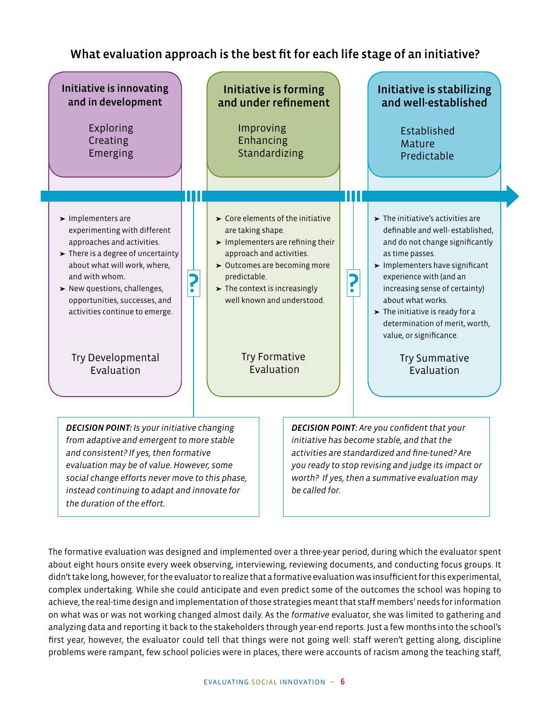## What evaluation approach is the best fit for each life stage of an initiative?



The formative evaluation was designed and implemented over a three-year period, during which the evaluator spent about eight hours onsite every week observing, interviewing, reviewing documents, and conducting focus groups. It didn't take long, however, for the evaluator to realize that a formative evaluation was insufficient for this experimental, complex undertaking. While she could anticipate and even predict some of the outcomes the school was hoping to achieve, the real-time design and implementation of those strategies meant that staff members' needs for information on what was or was not working changed almost daily. As the *formative* evaluator, she was limited to gathering and analyzing data and reporting it back to the stakeholders through year-end reports. Just a few months into the school's first year, however, the evaluator could tell that things were not going well: staff weren't getting along, discipline problems were rampant, few school policies were in places, there were accounts of racism among the teaching staff,

*the duration of the effort.*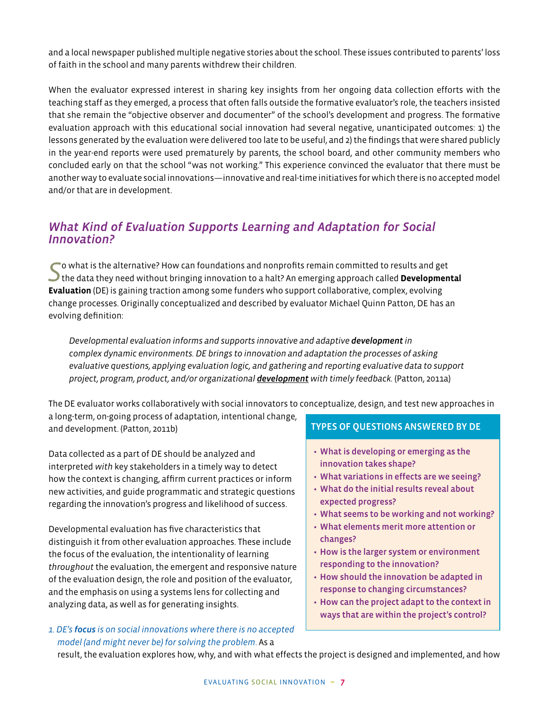and a local newspaper published multiple negative stories about the school. These issues contributed to parents' loss of faith in the school and many parents withdrew their children.

When the evaluator expressed interest in sharing key insights from her ongoing data collection efforts with the teaching staff as they emerged, a process that often falls outside the formative evaluator's role, the teachers insisted that she remain the "objective observer and documenter" of the school's development and progress. The formative evaluation approach with this educational social innovation had several negative, unanticipated outcomes: 1) the lessons generated by the evaluation were delivered too late to be useful, and 2) the findings that were shared publicly in the year-end reports were used prematurely by parents, the school board, and other community members who concluded early on that the school "was not working." This experience convinced the evaluator that there must be another way to evaluate social innovations—innovative and real-time initiatives for which there is no accepted model and/or that are in development.

## *What Kind of Evaluation Supports Learning and Adaptation for Social Innovation?*

*S*o what is the alternative? How can foundations and nonprofits remain committed to results and get the data they need without bringing innovation to a halt? An emerging approach called **Developmental Evaluation** (DE) is gaining traction among some funders who support collaborative, complex, evolving change processes. Originally conceptualized and described by evaluator Michael Quinn Patton, DE has an evolving definition:

*Developmental evaluation informs and supports innovative and adaptive development in complex dynamic environments. DE brings to innovation and adaptation the processes of asking evaluative questions, applying evaluation logic, and gathering and reporting evaluative data to support project, program, product, and/or organizational development with timely feedback.* (Patton, 2011a)

The DE evaluator works collaboratively with social innovators to conceptualize, design, and test new approaches in a long-term, on-going process of adaptation, intentional change, and development. (Patton, 2011b) TYPES OF QUESTIONS ANSWERED BY DE

Data collected as a part of DE should be analyzed and interpreted *with* key stakeholders in a timely way to detect how the context is changing, affirm current practices or inform new activities, and guide programmatic and strategic questions regarding the innovation's progress and likelihood of success.

Developmental evaluation has five characteristics that distinguish it from other evaluation approaches. These include the focus of the evaluation, the intentionality of learning *throughout* the evaluation, the emergent and responsive nature of the evaluation design, the role and position of the evaluator, and the emphasis on using a systems lens for collecting and analyzing data, as well as for generating insights.

#### *1. DE's focus is on social innovations where there is no accepted model (and might never be) for solving the problem*. As a

- What is developing or emerging as the innovation takes shape?
- What variations in effects are we seeing?
- What do the initial results reveal about expected progress?
- What seems to be working and not working?
- What elements merit more attention or changes?
- How is the larger system or environment responding to the innovation?
- How should the innovation be adapted in response to changing circumstances?
- How can the project adapt to the context in ways that are within the project's control?

result, the evaluation explores how, why, and with what effects the project is designed and implemented, and how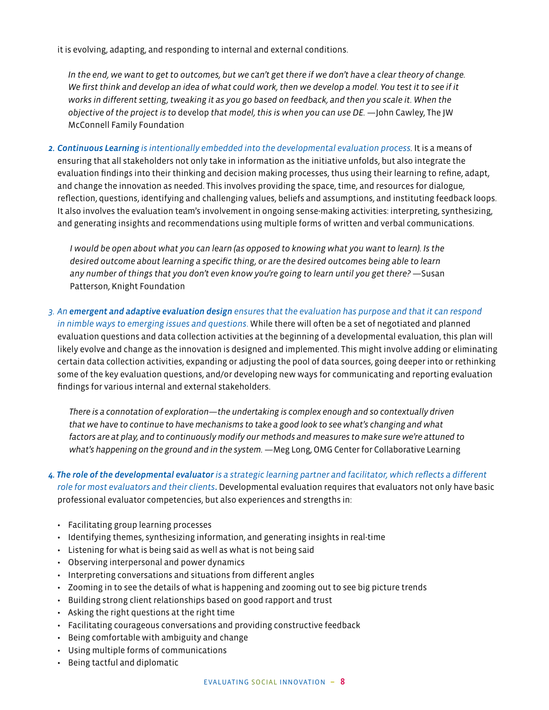it is evolving, adapting, and responding to internal and external conditions.

*In the end, we want to get to outcomes, but we can't get there if we don't have a clear theory of change. We first think and develop an idea of what could work, then we develop a model. You test it to see if it works in different setting, tweaking it as you go based on feedback, and then you scale it. When the objective of the project is to* develop *that model, this is when you can use DE.* —John Cawley, The JW McConnell Family Foundation

*2. Continuous Learning is intentionally embedded into the developmental evaluation process.* It is a means of ensuring that all stakeholders not only take in information as the initiative unfolds, but also integrate the evaluation findings into their thinking and decision making processes, thus using their learning to refine, adapt, and change the innovation as needed. This involves providing the space, time, and resources for dialogue, reflection, questions, identifying and challenging values, beliefs and assumptions, and instituting feedback loops. It also involves the evaluation team's involvement in ongoing sense-making activities: interpreting, synthesizing, and generating insights and recommendations using multiple forms of written and verbal communications.

*I would be open about what you can learn (as opposed to knowing what you want to learn). Is the desired outcome about learning a specific thing, or are the desired outcomes being able to learn*  any number of things that you don't even know you're going to learn until you get there? — Susan Patterson, Knight Foundation

*3. An emergent and adaptive evaluation design ensures that the evaluation has purpose and that it can respond in nimble ways to emerging issues and questions*. While there will often be a set of negotiated and planned evaluation questions and data collection activities at the beginning of a developmental evaluation, this plan will likely evolve and change as the innovation is designed and implemented. This might involve adding or eliminating certain data collection activities, expanding or adjusting the pool of data sources, going deeper into or rethinking some of the key evaluation questions, and/or developing new ways for communicating and reporting evaluation findings for various internal and external stakeholders.

*There is a connotation of exploration—the undertaking is complex enough and so contextually driven that we have to continue to have mechanisms to take a good look to see what's changing and what factors are at play, and to continuously modify our methods and measures to make sure we're attuned to*  what's happening on the ground and in the system. —Meg Long, OMG Center for Collaborative Learning

- *4. The role of the developmental evaluator is a strategic learning partner and facilitator, which reflects a different role for most evaluators and their clients***.** Developmental evaluation requires that evaluators not only have basic professional evaluator competencies, but also experiences and strengths in:
	- Facilitating group learning processes
	- Identifying themes, synthesizing information, and generating insights in real-time
	- Listening for what is being said as well as what is not being said
	- Observing interpersonal and power dynamics
	- Interpreting conversations and situations from different angles
	- Zooming in to see the details of what is happening and zooming out to see big picture trends
	- Building strong client relationships based on good rapport and trust
	- Asking the right questions at the right time
	- Facilitating courageous conversations and providing constructive feedback
	- Being comfortable with ambiguity and change
	- Using multiple forms of communications
	- Being tactful and diplomatic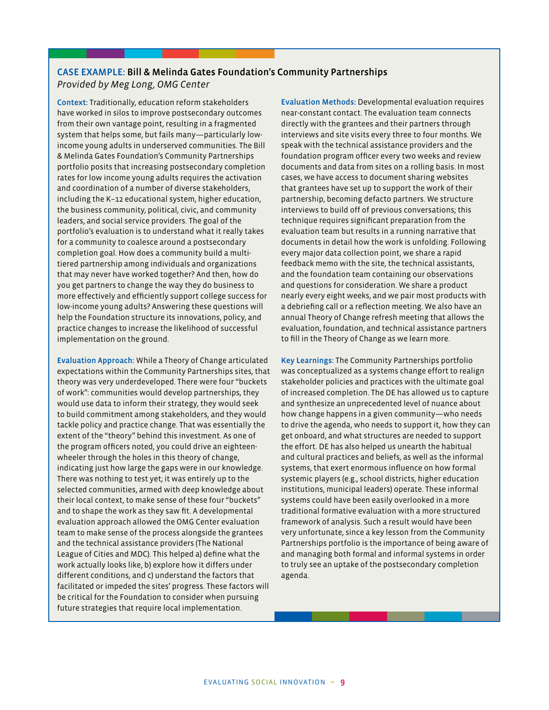#### CASE EXAMPLE: Bill & Melinda Gates Foundation's Community Partnerships *Provided by Meg Long, OMG Center*

Context: Traditionally, education reform stakeholders have worked in silos to improve postsecondary outcomes from their own vantage point, resulting in a fragmented system that helps some, but fails many—particularly lowincome young adults in underserved communities. The Bill & Melinda Gates Foundation's Community Partnerships portfolio posits that increasing postsecondary completion rates for low income young adults requires the activation and coordination of a number of diverse stakeholders, including the K–12 educational system, higher education, the business community, political, civic, and community leaders, and social service providers. The goal of the portfolio's evaluation is to understand what it really takes for a community to coalesce around a postsecondary completion goal. How does a community build a multitiered partnership among individuals and organizations that may never have worked together? And then, how do you get partners to change the way they do business to more effectively and efficiently support college success for low-income young adults? Answering these questions will help the Foundation structure its innovations, policy, and practice changes to increase the likelihood of successful implementation on the ground.

Evaluation Approach: While a Theory of Change articulated expectations within the Community Partnerships sites, that theory was very underdeveloped. There were four "buckets of work": communities would develop partnerships, they would use data to inform their strategy, they would seek to build commitment among stakeholders, and they would tackle policy and practice change. That was essentially the extent of the "theory" behind this investment. As one of the program officers noted, you could drive an eighteenwheeler through the holes in this theory of change, indicating just how large the gaps were in our knowledge. There was nothing to test yet; it was entirely up to the selected communities, armed with deep knowledge about their local context, to make sense of these four "buckets" and to shape the work as they saw fit. A developmental evaluation approach allowed the OMG Center evaluation team to make sense of the process alongside the grantees and the technical assistance providers (The National League of Cities and MDC). This helped a) define what the work actually looks like, b) explore how it differs under different conditions, and c) understand the factors that facilitated or impeded the sites' progress. These factors will be critical for the Foundation to consider when pursuing future strategies that require local implementation.

Evaluation Methods: Developmental evaluation requires near-constant contact. The evaluation team connects directly with the grantees and their partners through interviews and site visits every three to four months. We speak with the technical assistance providers and the foundation program officer every two weeks and review documents and data from sites on a rolling basis. In most cases, we have access to document sharing websites that grantees have set up to support the work of their partnership, becoming defacto partners. We structure interviews to build off of previous conversations; this technique requires significant preparation from the evaluation team but results in a running narrative that documents in detail how the work is unfolding. Following every major data collection point, we share a rapid feedback memo with the site, the technical assistants, and the foundation team containing our observations and questions for consideration. We share a product nearly every eight weeks, and we pair most products with a debriefing call or a reflection meeting. We also have an annual Theory of Change refresh meeting that allows the evaluation, foundation, and technical assistance partners to fill in the Theory of Change as we learn more.

Key Learnings: The Community Partnerships portfolio was conceptualized as a systems change effort to realign stakeholder policies and practices with the ultimate goal of increased completion. The DE has allowed us to capture and synthesize an unprecedented level of nuance about how change happens in a given community—who needs to drive the agenda, who needs to support it, how they can get onboard, and what structures are needed to support the effort. DE has also helped us unearth the habitual and cultural practices and beliefs, as well as the informal systems, that exert enormous influence on how formal systemic players (e.g., school districts, higher education institutions, municipal leaders) operate. These informal systems could have been easily overlooked in a more traditional formative evaluation with a more structured framework of analysis. Such a result would have been very unfortunate, since a key lesson from the Community Partnerships portfolio is the importance of being aware of and managing both formal and informal systems in order to truly see an uptake of the postsecondary completion agenda.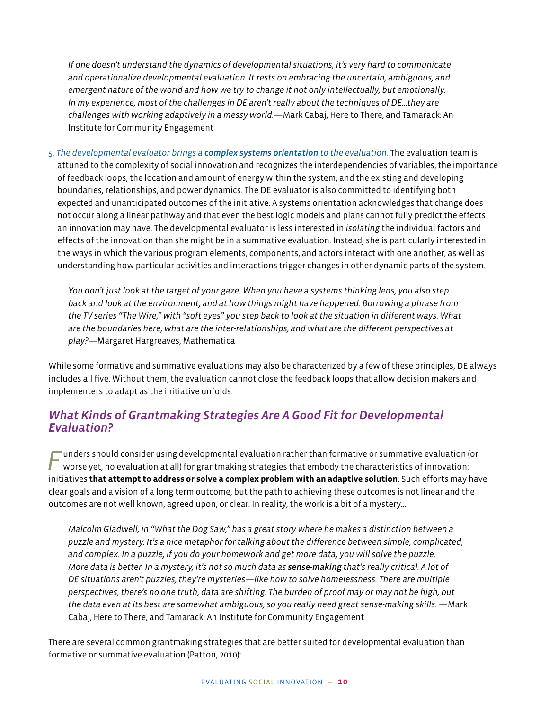*If one doesn't understand the dynamics of developmental situations, it's very hard to communicate and operationalize developmental evaluation. It rests on embracing the uncertain, ambiguous, and emergent nature of the world and how we try to change it not only intellectually, but emotionally. In my experience, most of the challenges in DE aren't really about the techniques of DE…they are challenges with working adaptively in a messy world.*—Mark Cabaj, Here to There, and Tamarack: An Institute for Community Engagement

*5. The developmental evaluator brings a complex systems orientation to the evaluation*. The evaluation team is attuned to the complexity of social innovation and recognizes the interdependencies of variables, the importance of feedback loops, the location and amount of energy within the system, and the existing and developing boundaries, relationships, and power dynamics. The DE evaluator is also committed to identifying both expected and unanticipated outcomes of the initiative. A systems orientation acknowledges that change does not occur along a linear pathway and that even the best logic models and plans cannot fully predict the effects an innovation may have. The developmental evaluator is less interested in *isolating* the individual factors and effects of the innovation than she might be in a summative evaluation. Instead, she is particularly interested in the ways in which the various program elements, components, and actors interact with one another, as well as understanding how particular activities and interactions trigger changes in other dynamic parts of the system.

*You don't just look at the target of your gaze. When you have a systems thinking lens, you also step back and look at the environment, and at how things might have happened. Borrowing a phrase from the TV series "The Wire," with "soft eyes" you step back to look at the situation in different ways. What are the boundaries here, what are the inter-relationships, and what are the different perspectives at play?*—Margaret Hargreaves, Mathematica

While some formative and summative evaluations may also be characterized by a few of these principles, DE always includes all five. Without them, the evaluation cannot close the feedback loops that allow decision makers and implementers to adapt as the initiative unfolds.

#### *What Kinds of Grantmaking Strategies Are A Good Fit for Developmental Evaluation?*

*F* unders should consider using developmental evaluation rather than formative or summative evaluation (or worse yet, no evaluation at all) for grantmaking strategies that embody the characteristics of innovation: initiatives **that attempt to address or solve a complex problem with an adaptive solution**. Such efforts may have clear goals and a vision of a long term outcome, but the path to achieving these outcomes is not linear and the outcomes are not well known, agreed upon, or clear. In reality, the work is a bit of a mystery…

*Malcolm Gladwell, in "What the Dog Saw," has a great story where he makes a distinction between a puzzle and mystery. It's a nice metaphor for talking about the difference between simple, complicated, and complex. In a puzzle, if you do your homework and get more data, you will solve the puzzle. More data is better. In a mystery, it's not so much data as sense-making that's really critical. A lot of DE situations aren't puzzles, they're mysteries—like how to solve homelessness. There are multiple perspectives, there's no one truth, data are shifting. The burden of proof may or may not be high, but*  the data even at its best are somewhat ambiguous, so you really need great sense-making skills. —Mark Cabaj, Here to There, and Tamarack: An Institute for Community Engagement

There are several common grantmaking strategies that are better suited for developmental evaluation than formative or summative evaluation (Patton, 2010):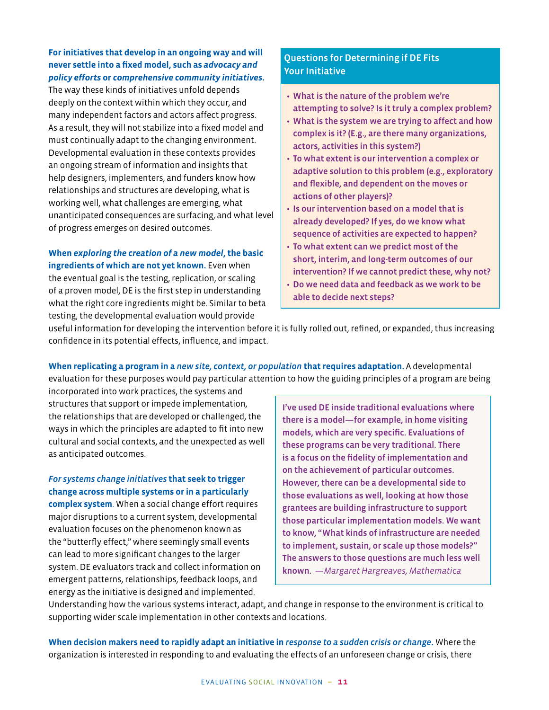#### **For initiatives that develop in an ongoing way and will never settle into a fixed model, such as** *advocacy and policy efforts* **or** *comprehensive community initiatives***.**

The way these kinds of initiatives unfold depends deeply on the context within which they occur, and many independent factors and actors affect progress. As a result, they will not stabilize into a fixed model and must continually adapt to the changing environment. Developmental evaluation in these contexts provides an ongoing stream of information and insights that help designers, implementers, and funders know how relationships and structures are developing, what is working well, what challenges are emerging, what unanticipated consequences are surfacing, and what level of progress emerges on desired outcomes.

**When** *exploring the creation of a new model***, the basic ingredients of which are not yet known.** Even when the eventual goal is the testing, replication, or scaling of a proven model, DE is the first step in understanding what the right core ingredients might be. Similar to beta testing, the developmental evaluation would provide

#### Questions for Determining if DE Fits Your Initiative

- What is the nature of the problem we're attempting to solve? Is it truly a complex problem?
- What is the system we are trying to affect and how complex is it? (E.g., are there many organizations, actors, activities in this system?)
- To what extent is our intervention a complex or adaptive solution to this problem (e.g., exploratory and flexible, and dependent on the moves or actions of other players)?
- Is our intervention based on a model that is already developed? If yes, do we know what sequence of activities are expected to happen?
- To what extent can we predict most of the short, interim, and long-term outcomes of our intervention? If we cannot predict these, why not?
- Do we need data and feedback as we work to be able to decide next steps?

useful information for developing the intervention before it is fully rolled out, refined, or expanded, thus increasing confidence in its potential effects, influence, and impact.

**When replicating a program in a** *new site, context, or population* **that requires adaptation.** A developmental evaluation for these purposes would pay particular attention to how the guiding principles of a program are being

incorporated into work practices, the systems and structures that support or impede implementation, the relationships that are developed or challenged, the ways in which the principles are adapted to fit into new cultural and social contexts, and the unexpected as well as anticipated outcomes.

#### *For systems change initiatives* **that seek to trigger change across multiple systems or in a particularly**

**complex system**. When a social change effort requires major disruptions to a current system, developmental evaluation focuses on the phenomenon known as the "butterfly effect," where seemingly small events can lead to more significant changes to the larger system. DE evaluators track and collect information on emergent patterns, relationships, feedback loops, and energy as the initiative is designed and implemented.

I've used DE inside traditional evaluations where there is a model—for example, in home visiting models, which are very specific. Evaluations of these programs can be very traditional. There is a focus on the fidelity of implementation and on the achievement of particular outcomes. However, there can be a developmental side to those evaluations as well, looking at how those grantees are building infrastructure to support those particular implementation models. We want to know, "What kinds of infrastructure are needed to implement, sustain, or scale up those models?" The answers to those questions are much less well known. *—Margaret Hargreaves, Mathematica*

Understanding how the various systems interact, adapt, and change in response to the environment is critical to supporting wider scale implementation in other contexts and locations.

**When decision makers need to rapidly adapt an initiative in** *response to a sudden crisis or change***.** Where the organization is interested in responding to and evaluating the effects of an unforeseen change or crisis, there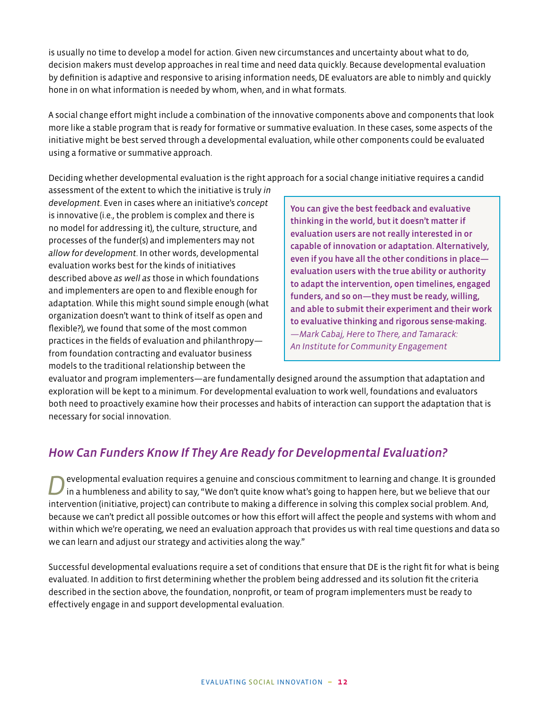is usually no time to develop a model for action. Given new circumstances and uncertainty about what to do, decision makers must develop approaches in real time and need data quickly. Because developmental evaluation by definition is adaptive and responsive to arising information needs, DE evaluators are able to nimbly and quickly hone in on what information is needed by whom, when, and in what formats.

A social change effort might include a combination of the innovative components above and components that look more like a stable program that is ready for formative or summative evaluation. In these cases, some aspects of the initiative might be best served through a developmental evaluation, while other components could be evaluated using a formative or summative approach.

Deciding whether developmental evaluation is the right approach for a social change initiative requires a candid

assessment of the extent to which the initiative is truly *in development*. Even in cases where an initiative's *concept* is innovative (i.e., the problem is complex and there is no model for addressing it), the culture, structure, and processes of the funder(s) and implementers may not *allow for development*. In other words, developmental evaluation works best for the kinds of initiatives described above *as well as* those in which foundations and implementers are open to and flexible enough for adaptation. While this might sound simple enough (what organization doesn't want to think of itself as open and flexible?), we found that some of the most common practices in the fields of evaluation and philanthropy from foundation contracting and evaluator business models to the traditional relationship between the

You can give the best feedback and evaluative thinking in the world, but it doesn't matter if evaluation users are not really interested in or capable of innovation or adaptation. Alternatively, even if you have all the other conditions in place evaluation users with the true ability or authority to adapt the intervention, open timelines, engaged funders, and so on—they must be ready, willing, and able to submit their experiment and their work to evaluative thinking and rigorous sense-making. *—Mark Cabaj, Here to There, and Tamarack: An Institute for Community Engagement*

evaluator and program implementers—are fundamentally designed around the assumption that adaptation and exploration will be kept to a minimum. For developmental evaluation to work well, foundations and evaluators both need to proactively examine how their processes and habits of interaction can support the adaptation that is necessary for social innovation.

## *How Can Funders Know If They Are Ready for Developmental Evaluation?*

*D*evelopmental evaluation requires a genuine and conscious commitment to learning and change. It is grounded in a humbleness and ability to say, "We don't quite know what's going to happen here, but we believe that our intervention (initiative, project) can contribute to making a difference in solving this complex social problem. And, because we can't predict all possible outcomes or how this effort will affect the people and systems with whom and within which we're operating, we need an evaluation approach that provides us with real time questions and data so we can learn and adjust our strategy and activities along the way."

Successful developmental evaluations require a set of conditions that ensure that DE is the right fit for what is being evaluated. In addition to first determining whether the problem being addressed and its solution fit the criteria described in the section above, the foundation, nonprofit, or team of program implementers must be ready to effectively engage in and support developmental evaluation.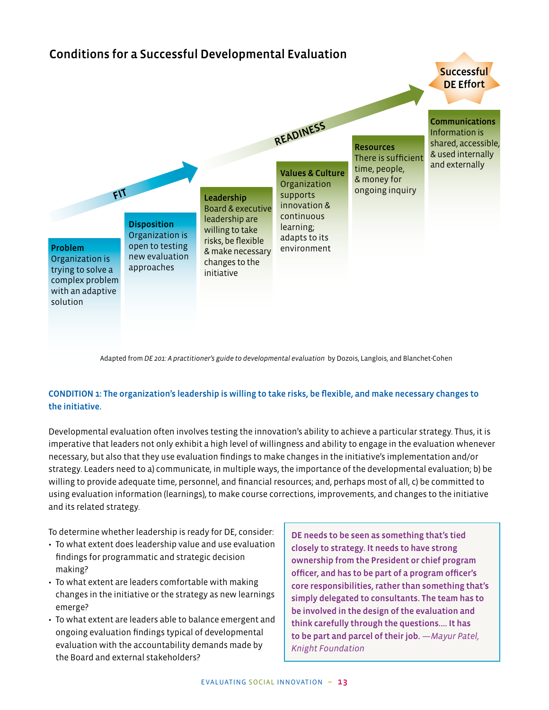

Adapted from *DE 201: A practitioner's guide to developmental evaluation* by Dozois, Langlois, and Blanchet-Cohen

#### CONDITION 1: The organization's leadership is willing to take risks, be flexible, and make necessary changes to the initiative.

Developmental evaluation often involves testing the innovation's ability to achieve a particular strategy. Thus, it is imperative that leaders not only exhibit a high level of willingness and ability to engage in the evaluation whenever necessary, but also that they use evaluation findings to make changes in the initiative's implementation and/or strategy. Leaders need to a) communicate, in multiple ways, the importance of the developmental evaluation; b) be willing to provide adequate time, personnel, and financial resources; and, perhaps most of all, c) be committed to using evaluation information (learnings), to make course corrections, improvements, and changes to the initiative and its related strategy.

To determine whether leadership is ready for DE, consider:

- To what extent does leadership value and use evaluation findings for programmatic and strategic decision making?
- To what extent are leaders comfortable with making changes in the initiative or the strategy as new learnings emerge?
- To what extent are leaders able to balance emergent and ongoing evaluation findings typical of developmental evaluation with the accountability demands made by the Board and external stakeholders?

DE needs to be seen as something that's tied closely to strategy. It needs to have strong ownership from the President or chief program officer, and has to be part of a program officer's core responsibilities, rather than something that's simply delegated to consultants. The team has to be involved in the design of the evaluation and think carefully through the questions…. It has to be part and parcel of their job. *—Mayur Patel, Knight Foundation*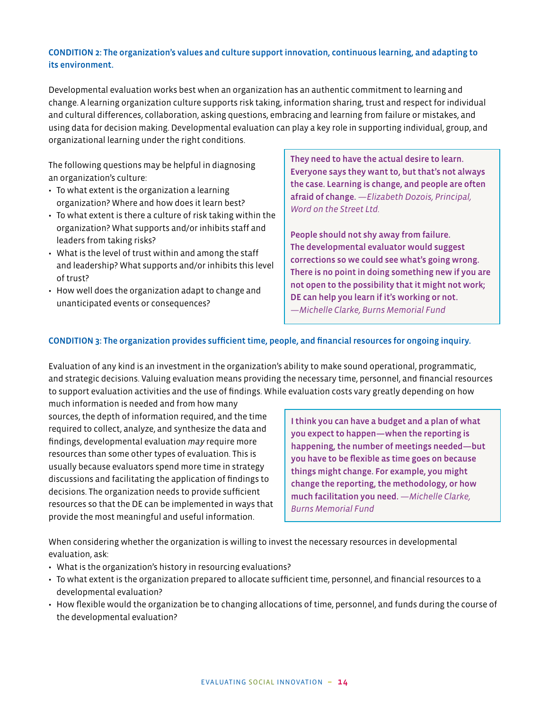#### CONDITION 2: The organization's values and culture support innovation, continuous learning, and adapting to its environment.

Developmental evaluation works best when an organization has an authentic commitment to learning and change. A learning organization culture supports risk taking, information sharing, trust and respect for individual and cultural differences, collaboration, asking questions, embracing and learning from failure or mistakes, and using data for decision making. Developmental evaluation can play a key role in supporting individual, group, and organizational learning under the right conditions.

The following questions may be helpful in diagnosing an organization's culture:

- To what extent is the organization a learning organization? Where and how does it learn best?
- To what extent is there a culture of risk taking within the organization? What supports and/or inhibits staff and leaders from taking risks?
- What is the level of trust within and among the staff and leadership? What supports and/or inhibits this level of trust?
- How well does the organization adapt to change and unanticipated events or consequences?

They need to have the actual desire to learn. Everyone says they want to, but that's not always the case. Learning is change, and people are often afraid of change. *—Elizabeth Dozois, Principal, Word on the Street Ltd.*

People should not shy away from failure. The developmental evaluator would suggest corrections so we could see what's going wrong. There is no point in doing something new if you are not open to the possibility that it might not work; DE can help you learn if it's working or not. *—Michelle Clarke, Burns Memorial Fund*

#### CONDITION 3: The organization provides sufficient time, people, and financial resources for ongoing inquiry.

Evaluation of any kind is an investment in the organization's ability to make sound operational, programmatic, and strategic decisions. Valuing evaluation means providing the necessary time, personnel, and financial resources to support evaluation activities and the use of findings. While evaluation costs vary greatly depending on how

much information is needed and from how many sources, the depth of information required, and the time required to collect, analyze, and synthesize the data and findings, developmental evaluation *may* require more resources than some other types of evaluation. This is usually because evaluators spend more time in strategy discussions and facilitating the application of findings to decisions. The organization needs to provide sufficient resources so that the DE can be implemented in ways that provide the most meaningful and useful information.

I think you can have a budget and a plan of what you expect to happen—when the reporting is happening, the number of meetings needed—but you have to be flexible as time goes on because things might change. For example, you might change the reporting, the methodology, or how much facilitation you need. *—Michelle Clarke, Burns Memorial Fund*

When considering whether the organization is willing to invest the necessary resources in developmental evaluation, ask:

- What is the organization's history in resourcing evaluations?
- To what extent is the organization prepared to allocate sufficient time, personnel, and financial resources to a developmental evaluation?
- How flexible would the organization be to changing allocations of time, personnel, and funds during the course of the developmental evaluation?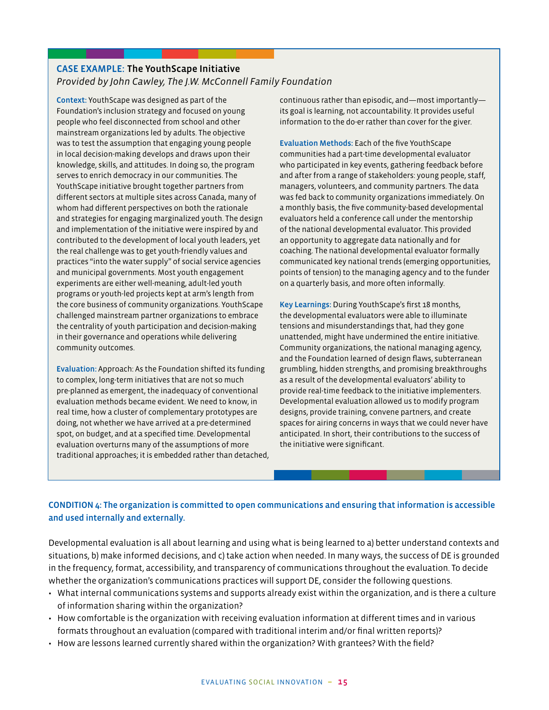#### CASE EXAMPLE: The YouthScape Initiative *Provided by John Cawley, The J.W. McConnell Family Foundation*

Context: YouthScape was designed as part of the Foundation's inclusion strategy and focused on young people who feel disconnected from school and other mainstream organizations led by adults. The objective was to test the assumption that engaging young people in local decision-making develops and draws upon their knowledge, skills, and attitudes. In doing so, the program serves to enrich democracy in our communities. The YouthScape initiative brought together partners from different sectors at multiple sites across Canada, many of whom had different perspectives on both the rationale and strategies for engaging marginalized youth. The design and implementation of the initiative were inspired by and contributed to the development of local youth leaders, yet the real challenge was to get youth-friendly values and practices "into the water supply" of social service agencies and municipal governments. Most youth engagement experiments are either well-meaning, adult-led youth programs or youth-led projects kept at arm's length from the core business of community organizations. YouthScape challenged mainstream partner organizations to embrace the centrality of youth participation and decision-making in their governance and operations while delivering community outcomes.

Evaluation: Approach: As the Foundation shifted its funding to complex, long-term initiatives that are not so much pre-planned as emergent, the inadequacy of conventional evaluation methods became evident. We need to know, in real time, how a cluster of complementary prototypes are doing, not whether we have arrived at a pre-determined spot, on budget, and at a specified time. Developmental evaluation overturns many of the assumptions of more traditional approaches; it is embedded rather than detached, continuous rather than episodic, and—most importantly its goal is learning, not accountability. It provides useful information to the do-er rather than cover for the giver.

Evaluation Methods: Each of the five YouthScape communities had a part-time developmental evaluator who participated in key events, gathering feedback before and after from a range of stakeholders: young people, staff, managers, volunteers, and community partners. The data was fed back to community organizations immediately. On a monthly basis, the five community-based developmental evaluators held a conference call under the mentorship of the national developmental evaluator. This provided an opportunity to aggregate data nationally and for coaching. The national developmental evaluator formally communicated key national trends (emerging opportunities, points of tension) to the managing agency and to the funder on a quarterly basis, and more often informally.

Key Learnings: During YouthScape's first 18 months, the developmental evaluators were able to illuminate tensions and misunderstandings that, had they gone unattended, might have undermined the entire initiative. Community organizations, the national managing agency, and the Foundation learned of design flaws, subterranean grumbling, hidden strengths, and promising breakthroughs as a result of the developmental evaluators' ability to provide real-time feedback to the initiative implementers. Developmental evaluation allowed us to modify program designs, provide training, convene partners, and create spaces for airing concerns in ways that we could never have anticipated. In short, their contributions to the success of the initiative were significant.

#### CONDITION 4: The organization is committed to open communications and ensuring that information is accessible and used internally and externally.

Developmental evaluation is all about learning and using what is being learned to a) better understand contexts and situations, b) make informed decisions, and c) take action when needed. In many ways, the success of DE is grounded in the frequency, format, accessibility, and transparency of communications throughout the evaluation. To decide whether the organization's communications practices will support DE, consider the following questions.

- What internal communications systems and supports already exist within the organization, and is there a culture of information sharing within the organization?
- How comfortable is the organization with receiving evaluation information at different times and in various formats throughout an evaluation (compared with traditional interim and/or final written reports)?
- How are lessons learned currently shared within the organization? With grantees? With the field?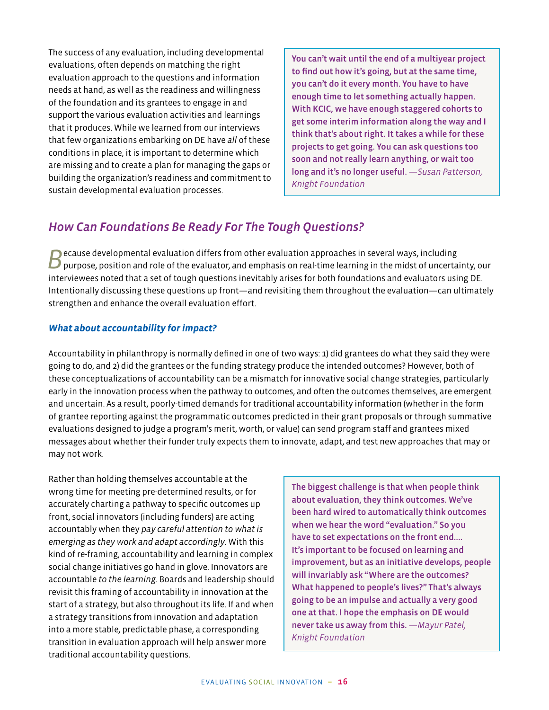The success of any evaluation, including developmental evaluations, often depends on matching the right evaluation approach to the questions and information needs at hand, as well as the readiness and willingness of the foundation and its grantees to engage in and support the various evaluation activities and learnings that it produces. While we learned from our interviews that few organizations embarking on DE have *all* of these conditions in place, it is important to determine which are missing and to create a plan for managing the gaps or building the organization's readiness and commitment to sustain developmental evaluation processes.

You can't wait until the end of a multiyear project to find out how it's going, but at the same time, you can't do it every month. You have to have enough time to let something actually happen. With KCIC, we have enough staggered cohorts to get some interim information along the way and I think that's about right. It takes a while for these projects to get going. You can ask questions too soon and not really learn anything, or wait too long and it's no longer useful. *—Susan Patterson, Knight Foundation*

## *How Can Foundations Be Ready For The Tough Questions?*

Because developmental evaluation differs from other evaluation approaches in several ways, including purpose, position and role of the evaluator, and emphasis on real-time learning in the midst of uncertainty, our interviewees noted that a set of tough questions inevitably arises for both foundations and evaluators using DE. Intentionally discussing these questions up front—and revisiting them throughout the evaluation—can ultimately strengthen and enhance the overall evaluation effort.

#### *What about accountability for impact?*

Accountability in philanthropy is normally defined in one of two ways: 1) did grantees do what they said they were going to do, and 2) did the grantees or the funding strategy produce the intended outcomes? However, both of these conceptualizations of accountability can be a mismatch for innovative social change strategies, particularly early in the innovation process when the pathway to outcomes, and often the outcomes themselves, are emergent and uncertain. As a result, poorly-timed demands for traditional accountability information (whether in the form of grantee reporting against the programmatic outcomes predicted in their grant proposals or through summative evaluations designed to judge a program's merit, worth, or value) can send program staff and grantees mixed messages about whether their funder truly expects them to innovate, adapt, and test new approaches that may or may not work.

Rather than holding themselves accountable at the wrong time for meeting pre-determined results, or for accurately charting a pathway to specific outcomes up front, social innovators (including funders) are acting accountably when they *pay careful attention to what is emerging as they work and adapt accordingly*. With this kind of re-framing, accountability and learning in complex social change initiatives go hand in glove. Innovators are accountable *to the learning.* Boards and leadership should revisit this framing of accountability in innovation at the start of a strategy, but also throughout its life. If and when a strategy transitions from innovation and adaptation into a more stable, predictable phase, a corresponding transition in evaluation approach will help answer more traditional accountability questions.

The biggest challenge is that when people think about evaluation, they think outcomes. We've been hard wired to automatically think outcomes when we hear the word "evaluation." So you have to set expectations on the front end.... It's important to be focused on learning and improvement, but as an initiative develops, people will invariably ask "Where are the outcomes? What happened to people's lives?" That's always going to be an impulse and actually a very good one at that. I hope the emphasis on DE would never take us away from this. *—Mayur Patel, Knight Foundation*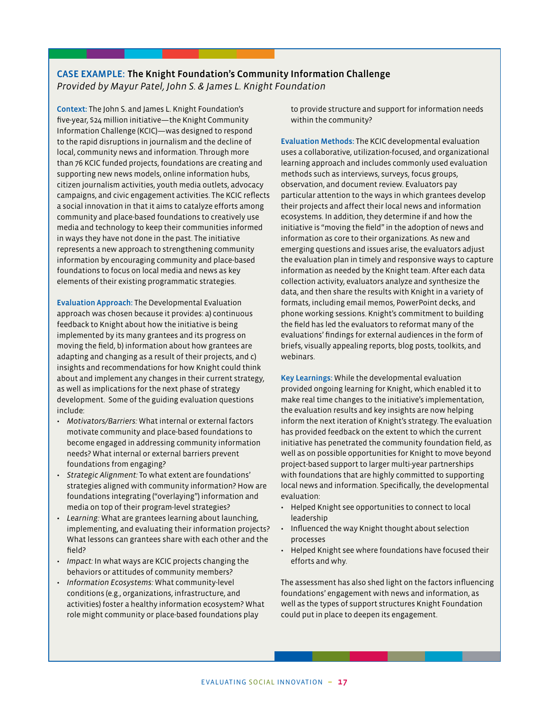#### CASE EXAMPLE: The Knight Foundation's Community Information Challenge *Provided by Mayur Patel, John S. & James L. Knight Foundation*

Context: The John S. and James L. Knight Foundation's five-year, \$24 million initiative—the Knight Community Information Challenge (KCIC)—was designed to respond to the rapid disruptions in journalism and the decline of local, community news and information. Through more than 76 KCIC funded projects, foundations are creating and supporting new news models, online information hubs, citizen journalism activities, youth media outlets, advocacy campaigns, and civic engagement activities. The KCIC reflects a social innovation in that it aims to catalyze efforts among community and place-based foundations to creatively use media and technology to keep their communities informed in ways they have not done in the past. The initiative represents a new approach to strengthening community information by encouraging community and place-based foundations to focus on local media and news as key elements of their existing programmatic strategies.

Evaluation Approach: The Developmental Evaluation approach was chosen because it provides: a) continuous feedback to Knight about how the initiative is being implemented by its many grantees and its progress on moving the field, b) information about how grantees are adapting and changing as a result of their projects, and c) insights and recommendations for how Knight could think about and implement any changes in their current strategy, as well as implications for the next phase of strategy development. Some of the guiding evaluation questions include:

- *Motivators/Barriers:* What internal or external factors motivate community and place-based foundations to become engaged in addressing community information needs? What internal or external barriers prevent foundations from engaging?
- *Strategic Alignment:* To what extent are foundations' strategies aligned with community information? How are foundations integrating ("overlaying") information and media on top of their program-level strategies?
- *Learning:* What are grantees learning about launching, implementing, and evaluating their information projects? What lessons can grantees share with each other and the field?
- *Impact:* In what ways are KCIC projects changing the behaviors or attitudes of community members?
- *Information Ecosystems:* What community-level conditions (e.g., organizations, infrastructure, and activities) foster a healthy information ecosystem? What role might community or place-based foundations play

to provide structure and support for information needs within the community?

Evaluation Methods: The KCIC developmental evaluation uses a collaborative, utilization-focused, and organizational learning approach and includes commonly used evaluation methods such as interviews, surveys, focus groups, observation, and document review. Evaluators pay particular attention to the ways in which grantees develop their projects and affect their local news and information ecosystems. In addition, they determine if and how the initiative is "moving the field" in the adoption of news and information as core to their organizations. As new and emerging questions and issues arise, the evaluators adjust the evaluation plan in timely and responsive ways to capture information as needed by the Knight team. After each data collection activity, evaluators analyze and synthesize the data, and then share the results with Knight in a variety of formats, including email memos, PowerPoint decks, and phone working sessions. Knight's commitment to building the field has led the evaluators to reformat many of the evaluations' findings for external audiences in the form of briefs, visually appealing reports, blog posts, toolkits, and webinars.

Key Learnings: While the developmental evaluation provided ongoing learning for Knight, which enabled it to make real time changes to the initiative's implementation, the evaluation results and key insights are now helping inform the next iteration of Knight's strategy. The evaluation has provided feedback on the extent to which the current initiative has penetrated the community foundation field, as well as on possible opportunities for Knight to move beyond project-based support to larger multi-year partnerships with foundations that are highly committed to supporting local news and information. Specifically, the developmental evaluation:

- Helped Knight see opportunities to connect to local leadership
- Influenced the way Knight thought about selection processes
- Helped Knight see where foundations have focused their efforts and why.

The assessment has also shed light on the factors influencing foundations' engagement with news and information, as well as the types of support structures Knight Foundation could put in place to deepen its engagement.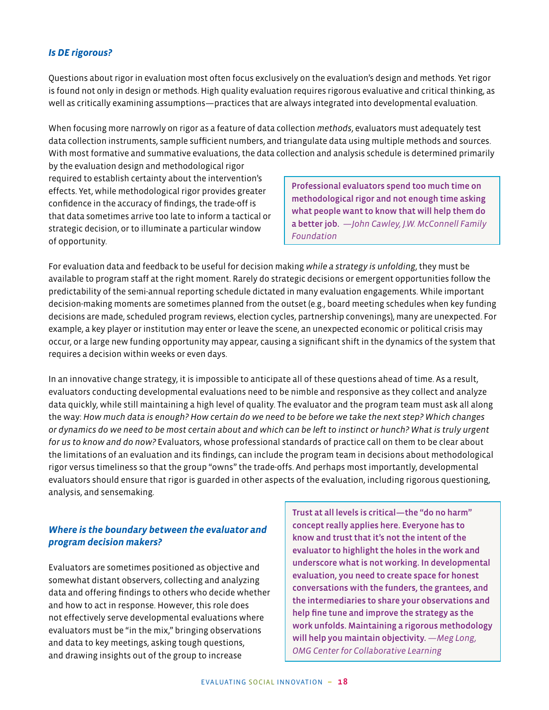#### *Is DE rigorous?*

Questions about rigor in evaluation most often focus exclusively on the evaluation's design and methods. Yet rigor is found not only in design or methods. High quality evaluation requires rigorous evaluative and critical thinking, as well as critically examining assumptions—practices that are always integrated into developmental evaluation.

When focusing more narrowly on rigor as a feature of data collection *methods*, evaluators must adequately test data collection instruments, sample sufficient numbers, and triangulate data using multiple methods and sources. With most formative and summative evaluations, the data collection and analysis schedule is determined primarily

by the evaluation design and methodological rigor required to establish certainty about the intervention's effects. Yet, while methodological rigor provides greater confidence in the accuracy of findings, the trade-off is that data sometimes arrive too late to inform a tactical or strategic decision, or to illuminate a particular window of opportunity.

Professional evaluators spend too much time on methodological rigor and not enough time asking what people want to know that will help them do a better job. *—John Cawley, J.W. McConnell Family Foundation*

For evaluation data and feedback to be useful for decision making *while a strategy is unfolding*, they must be available to program staff at the right moment. Rarely do strategic decisions or emergent opportunities follow the predictability of the semi-annual reporting schedule dictated in many evaluation engagements. While important decision-making moments are sometimes planned from the outset (e.g., board meeting schedules when key funding decisions are made, scheduled program reviews, election cycles, partnership convenings), many are unexpected. For example, a key player or institution may enter or leave the scene, an unexpected economic or political crisis may occur, or a large new funding opportunity may appear, causing a significant shift in the dynamics of the system that requires a decision within weeks or even days.

In an innovative change strategy, it is impossible to anticipate all of these questions ahead of time. As a result, evaluators conducting developmental evaluations need to be nimble and responsive as they collect and analyze data quickly, while still maintaining a high level of quality. The evaluator and the program team must ask all along the way: *How much data is enough? How certain do we need to be before we take the next step? Which changes or dynamics do we need to be most certain about and which can be left to instinct or hunch? What is truly urgent for us to know and do now?* Evaluators, whose professional standards of practice call on them to be clear about the limitations of an evaluation and its findings, can include the program team in decisions about methodological rigor versus timeliness so that the group "owns" the trade-offs. And perhaps most importantly, developmental evaluators should ensure that rigor is guarded in other aspects of the evaluation, including rigorous questioning, analysis, and sensemaking.

#### *Where is the boundary between the evaluator and program decision makers?*

Evaluators are sometimes positioned as objective and somewhat distant observers, collecting and analyzing data and offering findings to others who decide whether and how to act in response. However, this role does not effectively serve developmental evaluations where evaluators must be "in the mix," bringing observations and data to key meetings, asking tough questions, and drawing insights out of the group to increase

Trust at all levels is critical—the "do no harm" concept really applies here. Everyone has to know and trust that it's not the intent of the evaluator to highlight the holes in the work and underscore what is not working. In developmental evaluation, you need to create space for honest conversations with the funders, the grantees, and the intermediaries to share your observations and help fine tune and improve the strategy as the work unfolds. Maintaining a rigorous methodology will help you maintain objectivity. *—Meg Long, OMG Center for Collaborative Learning*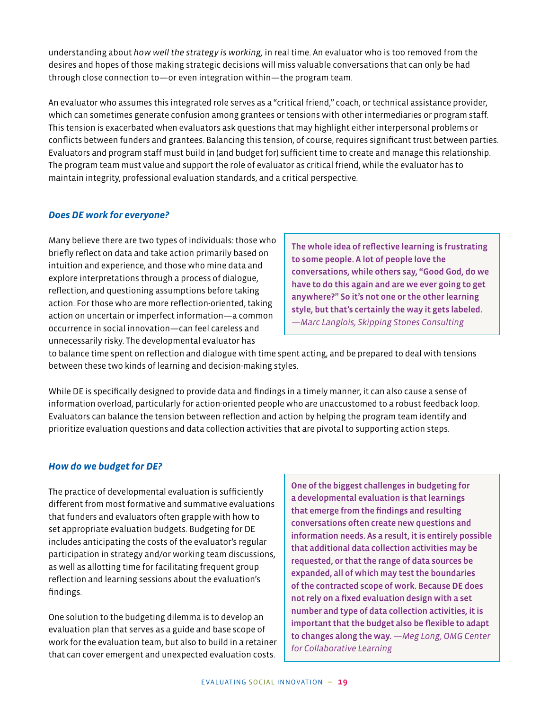understanding about *how well the strategy is working,* in real time. An evaluator who is too removed from the desires and hopes of those making strategic decisions will miss valuable conversations that can only be had through close connection to—or even integration within—the program team.

An evaluator who assumes this integrated role serves as a "critical friend," coach, or technical assistance provider, which can sometimes generate confusion among grantees or tensions with other intermediaries or program staff. This tension is exacerbated when evaluators ask questions that may highlight either interpersonal problems or conflicts between funders and grantees. Balancing this tension, of course, requires significant trust between parties. Evaluators and program staff must build in (and budget for) sufficient time to create and manage this relationship. The program team must value and support the role of evaluator as critical friend, while the evaluator has to maintain integrity, professional evaluation standards, and a critical perspective.

#### *Does DE work for everyone?*

Many believe there are two types of individuals: those who briefly reflect on data and take action primarily based on intuition and experience, and those who mine data and explore interpretations through a process of dialogue, reflection, and questioning assumptions before taking action. For those who are more reflection-oriented, taking action on uncertain or imperfect information—a common occurrence in social innovation—can feel careless and unnecessarily risky. The developmental evaluator has

The whole idea of reflective learning is frustrating to some people. A lot of people love the conversations, while others say, "Good God, do we have to do this again and are we ever going to get anywhere?" So it's not one or the other learning style, but that's certainly the way it gets labeled. *—Marc Langlois, Skipping Stones Consulting*

to balance time spent on reflection and dialogue with time spent acting, and be prepared to deal with tensions between these two kinds of learning and decision-making styles.

While DE is specifically designed to provide data and findings in a timely manner, it can also cause a sense of information overload, particularly for action-oriented people who are unaccustomed to a robust feedback loop. Evaluators can balance the tension between reflection and action by helping the program team identify and prioritize evaluation questions and data collection activities that are pivotal to supporting action steps.

#### *How do we budget for DE?*

The practice of developmental evaluation is sufficiently different from most formative and summative evaluations that funders and evaluators often grapple with how to set appropriate evaluation budgets. Budgeting for DE includes anticipating the costs of the evaluator's regular participation in strategy and/or working team discussions, as well as allotting time for facilitating frequent group reflection and learning sessions about the evaluation's findings.

One solution to the budgeting dilemma is to develop an evaluation plan that serves as a guide and base scope of work for the evaluation team, but also to build in a retainer that can cover emergent and unexpected evaluation costs.

One of the biggest challenges in budgeting for a developmental evaluation is that learnings that emerge from the findings and resulting conversations often create new questions and information needs. As a result, it is entirely possible that additional data collection activities may be requested, or that the range of data sources be expanded, all of which may test the boundaries of the contracted scope of work. Because DE does not rely on a fixed evaluation design with a set number and type of data collection activities, it is important that the budget also be flexible to adapt to changes along the way. *—Meg Long, OMG Center for Collaborative Learning*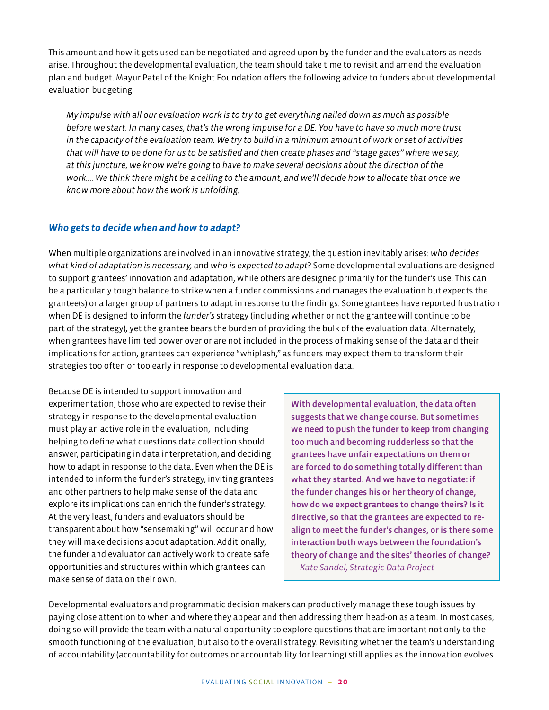This amount and how it gets used can be negotiated and agreed upon by the funder and the evaluators as needs arise. Throughout the developmental evaluation, the team should take time to revisit and amend the evaluation plan and budget. Mayur Patel of the Knight Foundation offers the following advice to funders about developmental evaluation budgeting:

*My impulse with all our evaluation work is to try to get everything nailed down as much as possible before we start. In many cases, that's the wrong impulse for a DE. You have to have so much more trust in the capacity of the evaluation team. We try to build in a minimum amount of work or set of activities that will have to be done for us to be satisfied and then create phases and "stage gates" where we say, at this juncture, we know we're going to have to make several decisions about the direction of the work.... We think there might be a ceiling to the amount, and we'll decide how to allocate that once we know more about how the work is unfolding.*

#### *Who gets to decide when and how to adapt?*

When multiple organizations are involved in an innovative strategy, the question inevitably arises: *who decides what kind of adaptation is necessary,* and *who is expected to adapt*? Some developmental evaluations are designed to support grantees' innovation and adaptation, while others are designed primarily for the funder's use. This can be a particularly tough balance to strike when a funder commissions and manages the evaluation but expects the grantee(s) or a larger group of partners to adapt in response to the findings. Some grantees have reported frustration when DE is designed to inform the *funder's* strategy (including whether or not the grantee will continue to be part of the strategy), yet the grantee bears the burden of providing the bulk of the evaluation data. Alternately, when grantees have limited power over or are not included in the process of making sense of the data and their implications for action, grantees can experience "whiplash," as funders may expect them to transform their strategies too often or too early in response to developmental evaluation data.

Because DE is intended to support innovation and experimentation, those who are expected to revise their strategy in response to the developmental evaluation must play an active role in the evaluation, including helping to define what questions data collection should answer, participating in data interpretation, and deciding how to adapt in response to the data. Even when the DE is intended to inform the funder's strategy, inviting grantees and other partners to help make sense of the data and explore its implications can enrich the funder's strategy. At the very least, funders and evaluators should be transparent about how "sensemaking" will occur and how they will make decisions about adaptation. Additionally, the funder and evaluator can actively work to create safe opportunities and structures within which grantees can make sense of data on their own.

With developmental evaluation, the data often suggests that we change course. But sometimes we need to push the funder to keep from changing too much and becoming rudderless so that the grantees have unfair expectations on them or are forced to do something totally different than what they started. And we have to negotiate: if the funder changes his or her theory of change, how do we expect grantees to change theirs? Is it directive, so that the grantees are expected to realign to meet the funder's changes, or is there some interaction both ways between the foundation's theory of change and the sites' theories of change? *—Kate Sandel, Strategic Data Project*

Developmental evaluators and programmatic decision makers can productively manage these tough issues by paying close attention to when and where they appear and then addressing them head-on as a team. In most cases, doing so will provide the team with a natural opportunity to explore questions that are important not only to the smooth functioning of the evaluation, but also to the overall strategy. Revisiting whether the team's understanding of accountability (accountability for outcomes or accountability for learning) still applies as the innovation evolves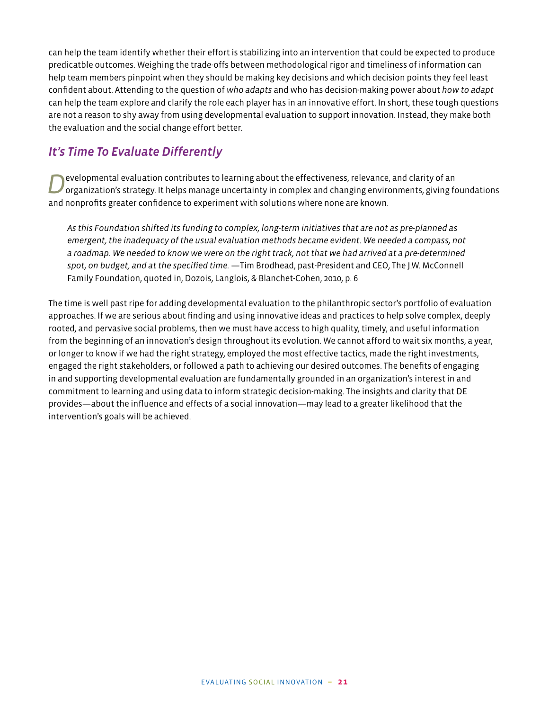can help the team identify whether their effort is stabilizing into an intervention that could be expected to produce predicatble outcomes. Weighing the trade-offs between methodological rigor and timeliness of information can help team members pinpoint when they should be making key decisions and which decision points they feel least confident about. Attending to the question of *who adapts* and who has decision-making power about *how to adapt*  can help the team explore and clarify the role each player has in an innovative effort. In short, these tough questions are not a reason to shy away from using developmental evaluation to support innovation. Instead, they make both the evaluation and the social change effort better.

## *It's Time To Evaluate Differently*

evelopmental evaluation contributes to learning about the effectiveness, relevance, and clarity of an organization's strategy. It helps manage uncertainty in complex and changing environments, giving foundations and nonprofits greater confidence to experiment with solutions where none are known.

*As this Foundation shifted its funding to complex, long-term initiatives that are not as pre-planned as emergent, the inadequacy of the usual evaluation methods became evident. We needed a compass, not a roadmap. We needed to know we were on the right track, not that we had arrived at a pre-determined spot, on budget, and at the specified time.* —Tim Brodhead, past-President and CEO, The J.W. McConnell Family Foundation, quoted in, Dozois, Langlois, & Blanchet-Cohen, 2010, p. 6

The time is well past ripe for adding developmental evaluation to the philanthropic sector's portfolio of evaluation approaches. If we are serious about finding and using innovative ideas and practices to help solve complex, deeply rooted, and pervasive social problems, then we must have access to high quality, timely, and useful information from the beginning of an innovation's design throughout its evolution. We cannot afford to wait six months, a year, or longer to know if we had the right strategy, employed the most effective tactics, made the right investments, engaged the right stakeholders, or followed a path to achieving our desired outcomes. The benefits of engaging in and supporting developmental evaluation are fundamentally grounded in an organization's interest in and commitment to learning and using data to inform strategic decision-making. The insights and clarity that DE provides—about the influence and effects of a social innovation—may lead to a greater likelihood that the intervention's goals will be achieved.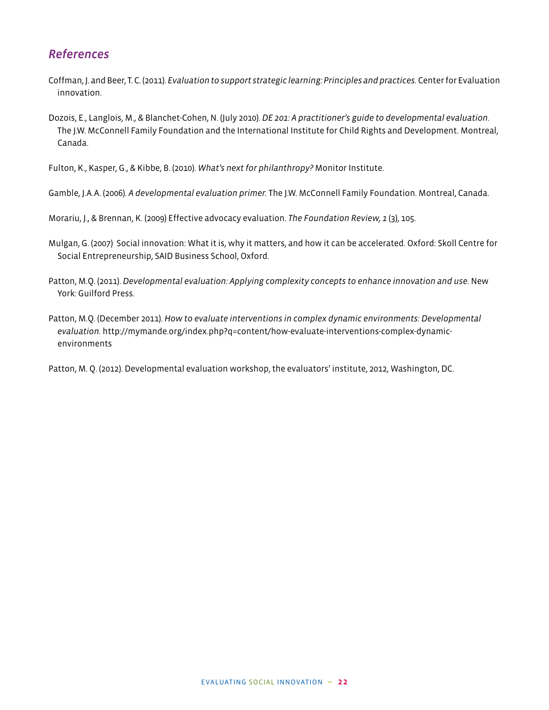## *References*

- Coffman, J. and Beer, T. C. (2011). *Evaluation to support strategic learning: Principles and practices.* Center for Evaluation innovation.
- Dozois, E., Langlois, M., & Blanchet-Cohen, N. (July 2010). *DE 201: A practitioner's guide to developmental evaluation*. The J.W. McConnell Family Foundation and the International Institute for Child Rights and Development. Montreal, Canada.

Fulton, K., Kasper, G., & Kibbe, B. (2010). *What's next for philanthropy?* Monitor Institute.

Gamble, J.A.A. (2006). *A developmental evaluation primer.* The J.W. McConnell Family Foundation. Montreal, Canada.

Morariu, J., & Brennan, K. (2009) Effective advocacy evaluation. *The Foundation Review, 1* (3), 105.

- Mulgan, G. (2007) Social innovation: What it is, why it matters, and how it can be accelerated. Oxford: Skoll Centre for Social Entrepreneurship, SAID Business School, Oxford.
- Patton, M.Q. (2011). *Developmental evaluation: Applying complexity concepts to enhance innovation and use*. New York: Guilford Press.
- Patton, M.Q. (December 2011). *How to evaluate interventions in complex dynamic environments: Developmental evaluation.* http://mymande.org/index.php?q=content/how-evaluate-interventions-complex-dynamicenvironments

Patton, M. Q. (2012). Developmental evaluation workshop, the evaluators' institute, 2012, Washington, DC.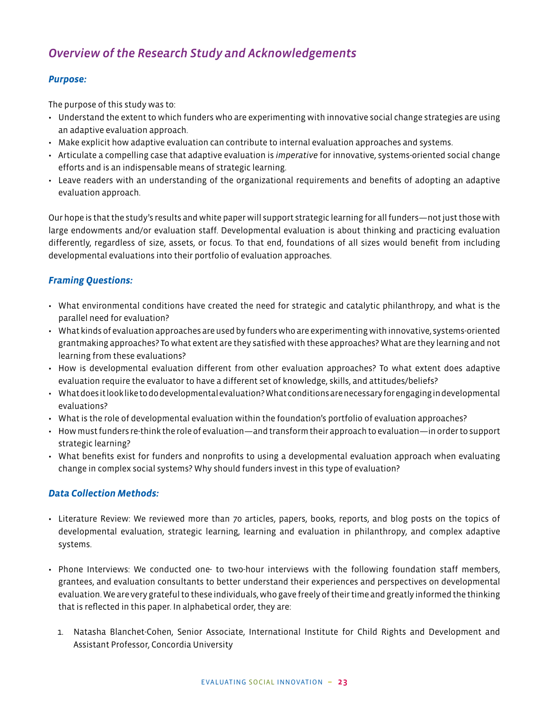## *Overview of the Research Study and Acknowledgements*

#### *Purpose:*

The purpose of this study was to:

- Understand the extent to which funders who are experimenting with innovative social change strategies are using an adaptive evaluation approach.
- Make explicit how adaptive evaluation can contribute to internal evaluation approaches and systems.
- Articulate a compelling case that adaptive evaluation is *imperative* for innovative, systems-oriented social change efforts and is an indispensable means of strategic learning.
- Leave readers with an understanding of the organizational requirements and benefits of adopting an adaptive evaluation approach.

Our hope is that the study's results and white paper will support strategic learning for all funders—not just those with large endowments and/or evaluation staff. Developmental evaluation is about thinking and practicing evaluation differently, regardless of size, assets, or focus. To that end, foundations of all sizes would benefit from including developmental evaluations into their portfolio of evaluation approaches.

#### *Framing Questions:*

- What environmental conditions have created the need for strategic and catalytic philanthropy, and what is the parallel need for evaluation?
- What kinds of evaluation approaches are used by funders who are experimenting with innovative, systems-oriented grantmaking approaches? To what extent are they satisfied with these approaches? What are they learning and not learning from these evaluations?
- How is developmental evaluation different from other evaluation approaches? To what extent does adaptive evaluation require the evaluator to have a different set of knowledge, skills, and attitudes/beliefs?
- What does it look like to do developmental evaluation? What conditions are necessary for engaging in developmental evaluations?
- What is the role of developmental evaluation within the foundation's portfolio of evaluation approaches?
- How must funders re-think the role of evaluation—and transform their approach to evaluation—in order to support strategic learning?
- What benefits exist for funders and nonprofits to using a developmental evaluation approach when evaluating change in complex social systems? Why should funders invest in this type of evaluation?

#### *Data Collection Methods:*

- Literature Review: We reviewed more than 70 articles, papers, books, reports, and blog posts on the topics of developmental evaluation, strategic learning, learning and evaluation in philanthropy, and complex adaptive systems.
- Phone Interviews: We conducted one- to two-hour interviews with the following foundation staff members, grantees, and evaluation consultants to better understand their experiences and perspectives on developmental evaluation. We are very grateful to these individuals, who gave freely of their time and greatly informed the thinking that is reflected in this paper. In alphabetical order, they are:
	- 1. Natasha Blanchet-Cohen, Senior Associate, International Institute for Child Rights and Development and Assistant Professor, Concordia University